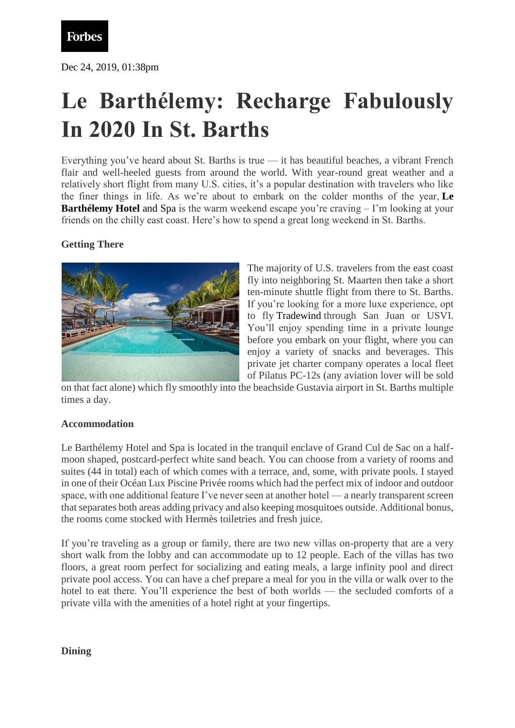

Dec 24, 2019, 01:38pm

# **Le Barthélemy: Recharge Fabulously In 2020 In St. Barths**

Everything you've heard about St. Barths is true — it has beautiful beaches, a vibrant French flair and well-heeled guests from around the world. With year-round great weather and a relatively short flight from many U.S. cities, it's a popular destination with travelers who like the finer things in life. As we're about to embark on the colder months of the year, **[Le](https://www.lebarthelemyhotel.com/)  [Barthélemy](https://www.lebarthelemyhotel.com/) Hotel** and Spa is the warm weekend escape you're craving – I'm looking at your friends on the chilly east coast. Here's how to spend a great long weekend in St. Barths.

## **Getting There**



The majority of U.S. travelers from the east coast fly into neighboring St. Maarten then take a short ten-minute shuttle flight from there to St. Barths. If you're looking for a more luxe experience, opt to fly [Tradewind](https://www.flytradewind.com/) through San Juan or USVI. You'll enjoy spending time in a private lounge before you embark on your flight, where you can enjoy a variety of snacks and beverages. This private jet charter company operates a local fleet of Pilatus PC-12s (any aviation lover will be sold

on that fact alone) which fly smoothly into the beachside Gustavia airport in St. Barths multiple times a day.

#### **Accommodation**

Le Barthélemy Hotel and Spa is located in the tranquil enclave of Grand Cul de Sac on a halfmoon shaped, postcard-perfect white sand beach. You can choose from a variety of rooms and suites (44 in total) each of which comes with a terrace, and, some, with private pools. I stayed in one of their Océan Lux Piscine Privée rooms which had the perfect mix of indoor and outdoor space, with one additional feature I've never seen at another hotel — a nearly transparent screen that separates both areas adding privacy and also keeping mosquitoes outside. Additional bonus, the rooms come stocked with Hermès toiletries and fresh juice.

If you're traveling as a group or family, there are two new villas on-property that are a very short walk from the lobby and can accommodate up to 12 people. Each of the villas has two floors, a great room perfect for socializing and eating meals, a large infinity pool and direct private pool access. You can have a chef prepare a meal for you in the villa or walk over to the hotel to eat there. You'll experience the best of both worlds — the secluded comforts of a private villa with the amenities of a hotel right at your fingertips.

#### **Dining**